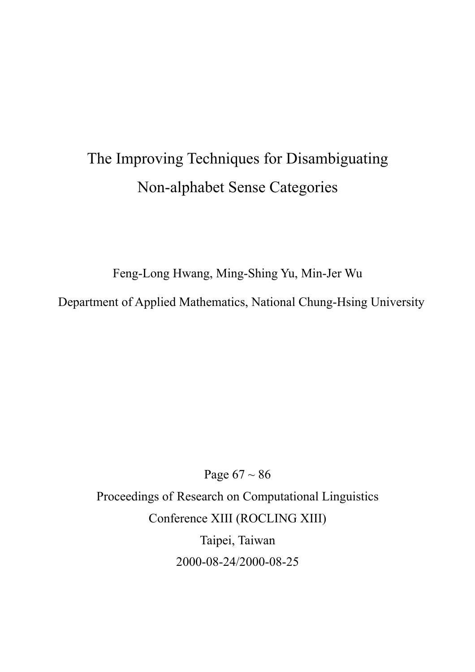# The Improving Techniques for Disambiguating Non-alphabet Sense Categories

Feng-Long Hwang, Ming-Shing Yu, Min-Jer Wu

Department of Applied Mathematics, National Chung-Hsing University

Page  $67 \sim 86$ Proceedings of Research on Computational Linguistics Conference XIII (ROCLING XIII) Taipei, Taiwan 2000-08-24/2000-08-25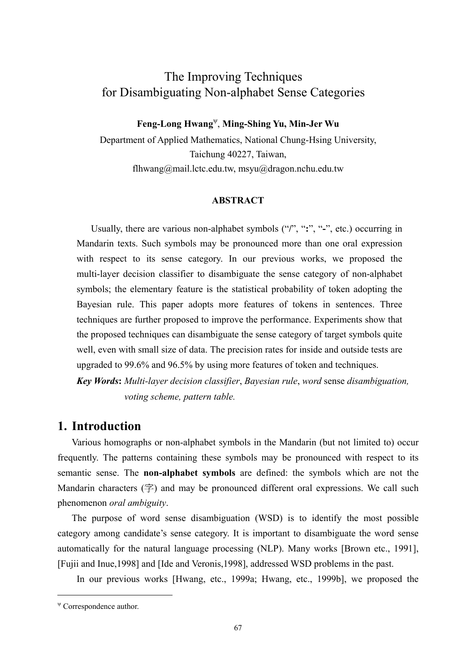## The Improving Techniques for Disambiguating Non-alphabet Sense Categories

**Feng-Long Hwang**<sup>ψ</sup> , **Ming-Shing Yu, Min-Jer Wu** 

Department of Applied Mathematics, National Chung-Hsing University, Taichung 40227, Taiwan, flhwang@mail.lctc.edu.tw, msyu@dragon.nchu.edu.tw

## **ABSTRACT**

Usually, there are various non-alphabet symbols ("**/**", "**:**", "**-**", etc.) occurring in Mandarin texts. Such symbols may be pronounced more than one oral expression with respect to its sense category. In our previous works, we proposed the multi-layer decision classifier to disambiguate the sense category of non-alphabet symbols; the elementary feature is the statistical probability of token adopting the Bayesian rule. This paper adopts more features of tokens in sentences. Three techniques are further proposed to improve the performance. Experiments show that the proposed techniques can disambiguate the sense category of target symbols quite well, even with small size of data. The precision rates for inside and outside tests are upgraded to 99.6% and 96.5% by using more features of token and techniques.

*Key Words***:** *Multi-layer decision classifier*, *Bayesian rule*, *word* sense *disambiguation, voting scheme, pattern table.* 

## **1. Introduction**

Various homographs or non-alphabet symbols in the Mandarin (but not limited to) occur frequently. The patterns containing these symbols may be pronounced with respect to its semantic sense. The **non-alphabet symbols** are defined: the symbols which are not the Mandarin characters  $(\hat{\mathcal{F}})$  and may be pronounced different oral expressions. We call such phenomenon *oral ambiguity*.

The purpose of word sense disambiguation (WSD) is to identify the most possible category among candidate's sense category. It is important to disambiguate the word sense automatically for the natural language processing (NLP). Many works [Brown etc., 1991], [Fujii and Inue,1998] and [Ide and Veronis,1998], addressed WSD problems in the past.

In our previous works [Hwang, etc., 1999a; Hwang, etc., 1999b], we proposed the

 $\overline{a}$ 

<sup>ψ</sup> Correspondence author.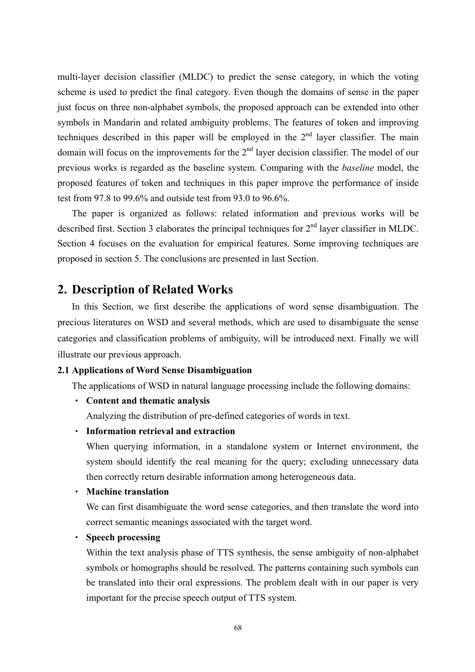multi-layer decision classifier (MLDC) to predict the sense category, in which the voting scheme is used to predict the final category. Even though the domains of sense in the paper just focus on three non-alphabet symbols, the proposed approach can be extended into other symbols in Mandarin and related ambiguity problems. The features of token and improving techniques described in this paper will be employed in the  $2<sup>nd</sup>$  layer classifier. The main domain will focus on the improvements for the  $2<sup>nd</sup>$  layer decision classifier. The model of our previous works is regarded as the baseline system. Comparing with the *baseline* model, the proposed features of token and techniques in this paper improve the performance of inside test from 97.8 to 99.6% and outside test from 93.0 to 96.6%.

The paper is organized as follows: related information and previous works will be described first. Section 3 elaborates the principal techniques for  $2<sup>nd</sup>$  layer classifier in MLDC. Section 4 focuses on the evaluation for empirical features. Some improving techniques are proposed in section 5. The conclusions are presented in last Section.

## **2. Description of Related Works**

In this Section, we first describe the applications of word sense disambiguation. The precious literatures on WSD and several methods, which are used to disambiguate the sense categories and classification problems of ambiguity, will be introduced next. Finally we will illustrate our previous approach.

#### **2.1 Applications of Word Sense Disambiguation**

The applications of WSD in natural language processing include the following domains:

• **Content and thematic analysis** 

Analyzing the distribution of pre-defined categories of words in text.

#### • **Information retrieval and extraction**

When querying information, in a standalone system or Internet environment, the system should identify the real meaning for the query; excluding unnecessary data then correctly return desirable information among heterogeneous data.

• **Machine translation** 

We can first disambiguate the word sense categories, and then translate the word into correct semantic meanings associated with the target word.

• **Speech processing** 

Within the text analysis phase of TTS synthesis, the sense ambiguity of non-alphabet symbols or homographs should be resolved. The patterns containing such symbols can be translated into their oral expressions. The problem dealt with in our paper is very important for the precise speech output of TTS system.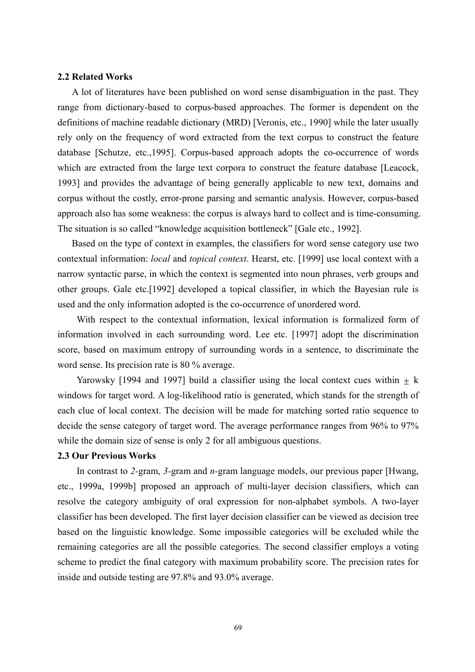### **2.2 Related Works**

A lot of literatures have been published on word sense disambiguation in the past. They range from dictionary-based to corpus-based approaches. The former is dependent on the definitions of machine readable dictionary (MRD) [Veronis, etc., 1990] while the later usually rely only on the frequency of word extracted from the text corpus to construct the feature database [Schutze, etc.,1995]. Corpus-based approach adopts the co-occurrence of words which are extracted from the large text corpora to construct the feature database [Leacock, 1993] and provides the advantage of being generally applicable to new text, domains and corpus without the costly, error-prone parsing and semantic analysis. However, corpus-based approach also has some weakness: the corpus is always hard to collect and is time-consuming. The situation is so called "knowledge acquisition bottleneck" [Gale etc., 1992].

 Based on the type of context in examples, the classifiers for word sense category use two contextual information: *local* and *topical context*. Hearst, etc. [1999] use local context with a narrow syntactic parse, in which the context is segmented into noun phrases, verb groups and other groups. Gale etc.[1992] developed a topical classifier, in which the Bayesian rule is used and the only information adopted is the co-occurrence of unordered word.

 With respect to the contextual information, lexical information is formalized form of information involved in each surrounding word. Lee etc. [1997] adopt the discrimination score, based on maximum entropy of surrounding words in a sentence, to discriminate the word sense. Its precision rate is 80 % average.

Yarowsky [1994 and 1997] build a classifier using the local context cues within  $\pm$  k windows for target word. A log-likelihood ratio is generated, which stands for the strength of each clue of local context. The decision will be made for matching sorted ratio sequence to decide the sense category of target word. The average performance ranges from 96% to 97% while the domain size of sense is only 2 for all ambiguous questions.

#### **2.3 Our Previous Works**

In contrast to *2-*gram, *3-*gram and *n-*gram language models, our previous paper [Hwang, etc., 1999a, 1999b] proposed an approach of multi-layer decision classifiers, which can resolve the category ambiguity of oral expression for non-alphabet symbols. A two-layer classifier has been developed. The first layer decision classifier can be viewed as decision tree based on the linguistic knowledge. Some impossible categories will be excluded while the remaining categories are all the possible categories. The second classifier employs a voting scheme to predict the final category with maximum probability score. The precision rates for inside and outside testing are 97.8% and 93.0% average.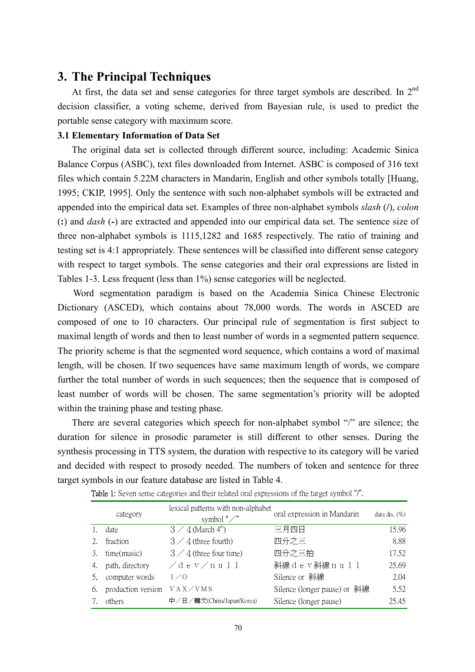## **3. The Principal Techniques**

At first, the data set and sense categories for three target symbols are described. In  $2<sup>nd</sup>$ decision classifier, a voting scheme, derived from Bayesian rule, is used to predict the portable sense category with maximum score.

## **3.1 Elementary Information of Data Set**

The original data set is collected through different source, including: Academic Sinica Balance Corpus (ASBC), text files downloaded from Internet. ASBC is composed of 316 text files which contain 5.22M characters in Mandarin, English and other symbols totally [Huang, 1995; CKIP, 1995]. Only the sentence with such non-alphabet symbols will be extracted and appended into the empirical data set. Examples of three non-alphabet symbols *slash* (**/**), *colon* (**:**) and *dash* (**-**) are extracted and appended into our empirical data set. The sentence size of three non-alphabet symbols is 1115,1282 and 1685 respectively. The ratio of training and testing set is 4:1 appropriately. These sentences will be classified into different sense category with respect to target symbols. The sense categories and their oral expressions are listed in Tables 1-3. Less frequent (less than 1%) sense categories will be neglected.

Word segmentation paradigm is based on the Academia Sinica Chinese Electronic Dictionary (ASCED), which contains about 78,000 words. The words in ASCED are composed of one to 10 characters. Our principal rule of segmentation is first subject to maximal length of words and then to least number of words in a segmented pattern sequence. The priority scheme is that the segmented word sequence, which contains a word of maximal length, will be chosen. If two sequences have same maximum length of words, we compare further the total number of words in such sequences; then the sequence that is composed of least number of words will be chosen. The same segmentation's priority will be adopted within the training phase and testing phase.

 There are several categories which speech for non-alphabet symbol "/" are silence; the duration for silence in prosodic parameter is still different to other senses. During the synthesis processing in TTS system, the duration with respective to its category will be varied and decided with respect to prosody needed. The numbers of token and sentence for three target symbols in our feature database are listed in Table 4.

|    | category           | lexical patterns with non-alphabet<br>symbol " $\angle$ " | oral expression in Mandarin  | data dis. $(\%)$ |
|----|--------------------|-----------------------------------------------------------|------------------------------|------------------|
|    | date               | $3 \angle 4$ (March 4 <sup>th</sup> )                     | 三月四日                         | 15.96            |
|    | fraction           | $3 \angle 4$ (three fourth)                               | 四分之三                         | 8.88             |
| 3. | time(music)        | $3 \angle 4$ (three four time)                            | 四分之三拍                        | 17.52            |
| 4. | path, directory    | $\angle$ dev $\angle$ null                                | 斜線dev斜線null                  | 25.69            |
|    | computer words     | 1/0                                                       | Silence or 斜線                | 2.04             |
| 6. | production version | VAX/VMS                                                   | Silence (longer pause) or 斜線 | 5.52             |
|    | others             | 中/日/韓文(China/Japan/Korea)                                 | Silence (longer pause)       | 25.45            |

|  | <b>Table 1:</b> Seven sense categories and their related oral expressions of the target symbol "/". |  |  |
|--|-----------------------------------------------------------------------------------------------------|--|--|
|--|-----------------------------------------------------------------------------------------------------|--|--|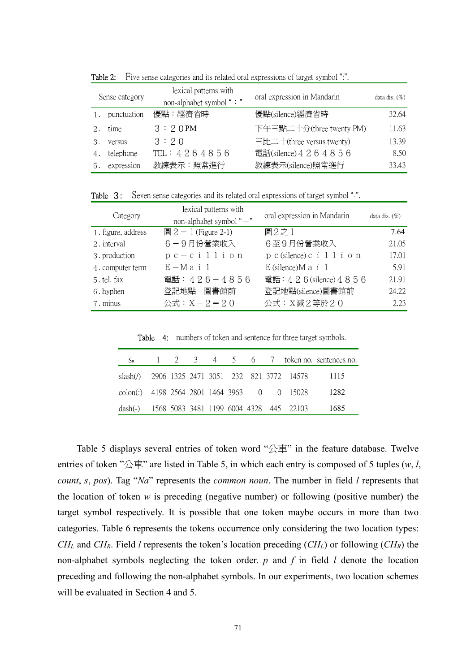|    | Sense category | lexical patterns with<br>non-alphabet symbol ": " | oral expression in Mandarin | data dis. $(\% )$ |
|----|----------------|---------------------------------------------------|-----------------------------|-------------------|
| 1. | punctuation    | 優點:經濟省時                                           | 優點(silence)經濟省時             | 32.64             |
| 2. | time           | 3:20PM                                            | 下午三點二十分(three twenty PM)    | 11.63             |
| 3. | versus         | 3:20                                              | 三比二十(three versus twenty)   | 13.39             |
|    | telephone      | TEL : $4264856$                                   | 電話(silence) 4 2 6 4 8 5 6   | 8.50              |
| 5. | expression     | 教練表示:照常進行                                         | 教練表示(silence)照常進行           | 33.43             |

Table 2: Five sense categories and its related oral expressions of target symbol ":".

Table 3: Seven sense categories and its related oral expressions of target symbol "-".

| Category           | lexical patterns with<br>non-alphabet symbol "-" | oral expression in Mandarin | data dis. $(\% )$ |
|--------------------|--------------------------------------------------|-----------------------------|-------------------|
| 1. figure, address | $\boxplus 2 - 1$ (Figure 2-1)                    | 圖2之1                        | 7.64              |
| 2. interval        | 6-9月份營業收入                                        | 6至9月份營業收入                   | 21.05             |
| 3. production      | $pc - c i l i o n$                               | p c (silence) c i 1 1 i o n | 17.01             |
| 4. computer term   | $E-Ma$ i 1                                       | $E$ (silence) $M$ a i 1     | 5.91              |
| 5. tel. fax        | 電話: $426 - 4856$                                 | 電話: 4 2 6 (silence) 4 8 5 6 | 21.91             |
| 6. hyphen          | 登記地點-圖書館前                                        | 登記地點(silence)圖書館前           | 24.22             |
| 7. minus           | 公式: $X - 2 = 20$                                 | 公式: X減2等於20                 | 2.23              |

Table 4: numbers of token and sentence for three target symbols.

|                                                 |  |  |  |                                                          | $S_n$ 1 2 3 4 5 6 7 token no. sentences no. |
|-------------------------------------------------|--|--|--|----------------------------------------------------------|---------------------------------------------|
|                                                 |  |  |  | slash( <i>f</i> ) 2906 1325 2471 3051 232 821 3772 14578 | - 1115                                      |
| colon(:) 4198 2564 2801 1464 3963 0 0 15028     |  |  |  |                                                          | - 1282                                      |
| dash(-) 1568 5083 3481 1199 6004 4328 445 22103 |  |  |  |                                                          | 1685                                        |

Table 5 displays several entries of token word " $\triangle \bar{p}$ " in the feature database. Twelve entries of token "公車" are listed in Table 5, in which each entry is composed of 5 tuples (*w*, *l*, *count*, *s*, *pos*). Tag "*Na*" represents the *common noun*. The number in field *l* represents that the location of token *w* is preceding (negative number) or following (positive number) the target symbol respectively. It is possible that one token maybe occurs in more than two categories. Table 6 represents the tokens occurrence only considering the two location types: *CHL* and *CHR*. Field *l* represents the token's location preceding (*CHL*) or following (*CHR*) the non-alphabet symbols neglecting the token order. *p* and *f* in field *l* denote the location preceding and following the non-alphabet symbols. In our experiments, two location schemes will be evaluated in Section 4 and 5.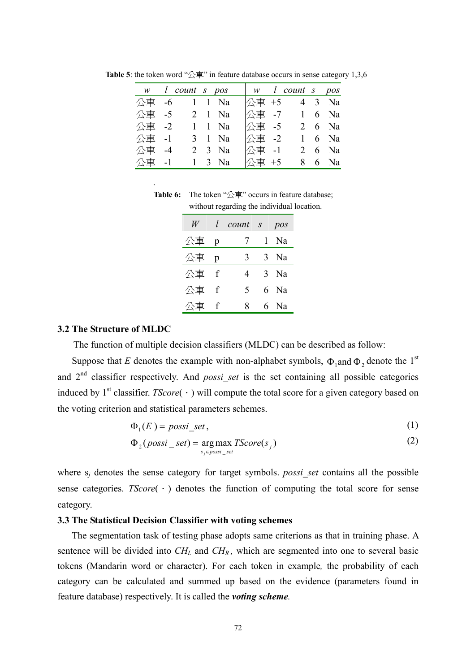|       | w l count s pos |                      |       | $\begin{array}{ccc} \vert w & \vert \ \text{count} & \text{s} & \text{pos} \end{array}$                                                                                                                                                                                                                             |        |
|-------|-----------------|----------------------|-------|---------------------------------------------------------------------------------------------------------------------------------------------------------------------------------------------------------------------------------------------------------------------------------------------------------------------|--------|
|       | 公車 -6 1 1 Na    |                      |       | 公車 +5 4 3 Na                                                                                                                                                                                                                                                                                                        |        |
|       | 公車 -5 2 1 Na    |                      |       | $\triangle$ 車 -7 1 6 Na                                                                                                                                                                                                                                                                                             |        |
|       | 公車 -2 1 1 Na    |                      |       | 公車 -5 2 6 Na                                                                                                                                                                                                                                                                                                        |        |
|       | 公車 -1 3 1 Na    |                      | 公車 -2 |                                                                                                                                                                                                                                                                                                                     | 1 6 Na |
| 公車 -4 |                 | $2 \quad 3 \quad Na$ |       | $\triangle$ 車 -1 2 6 Na                                                                                                                                                                                                                                                                                             |        |
|       | 公車 -1 1 3 Na    |                      |       | $\frac{1}{2}$ $\frac{1}{2}$ $\frac{1}{2}$ $\frac{1}{2}$ $\frac{1}{2}$ $\frac{1}{2}$ $\frac{1}{2}$ $\frac{1}{2}$ $\frac{1}{2}$ $\frac{1}{2}$ $\frac{1}{2}$ $\frac{1}{2}$ $\frac{1}{2}$ $\frac{1}{2}$ $\frac{1}{2}$ $\frac{1}{2}$ $\frac{1}{2}$ $\frac{1}{2}$ $\frac{1}{2}$ $\frac{1}{2}$ $\frac{1}{2}$ $\frac{1}{2}$ |        |

**Table 5**: the token word " $\triangle \equiv$ " in feature database occurs in sense category 1,3,6

**Table 6:** The token "公車" occurs in feature database; without regarding the individual location.

| W    | l            | count s     | pos  |
|------|--------------|-------------|------|
| 公車   | p            | 7           | 1 Na |
| 公車   | $\mathbf{p}$ | 3           | 3 Na |
| 公車 f |              | 4           | 3 Na |
| 公車   | $\mathbf{f}$ | $\varsigma$ | 6 Na |
| 公車   | $\mathbf f$  | 8           | 6 Na |

#### **3.2 The Structure of MLDC**

.

The function of multiple decision classifiers (MLDC) can be described as follow:

Suppose that E denotes the example with non-alphabet symbols,  $\Phi_1$  and  $\Phi_2$  denote the 1<sup>st</sup> and 2nd classifier respectively. And *possi\_set* is the set containing all possible categories induced by  $1<sup>st</sup>$  classifier. *TScore*( $\cdot$ ) will compute the total score for a given category based on the voting criterion and statistical parameters schemes.

$$
\Phi_1(E) = \text{possi\_set},\tag{1}
$$

$$
\Phi_2(\text{possi\_set}) = \underset{s_j \in \text{possi\_set}}{\arg \max} \text{TScore}(s_j) \tag{2}
$$

where  $s_j$  denotes the sense category for target symbols. *possi set* contains all the possible sense categories. *TScore*( $\cdot$ ) denotes the function of computing the total score for sense category.

### **3.3 The Statistical Decision Classifier with voting schemes**

The segmentation task of testing phase adopts same criterions as that in training phase. A sentence will be divided into  $CH_L$  and  $CH_R$ , which are segmented into one to several basic tokens (Mandarin word or character). For each token in example*,* the probability of each category can be calculated and summed up based on the evidence (parameters found in feature database) respectively. It is called the *voting scheme.*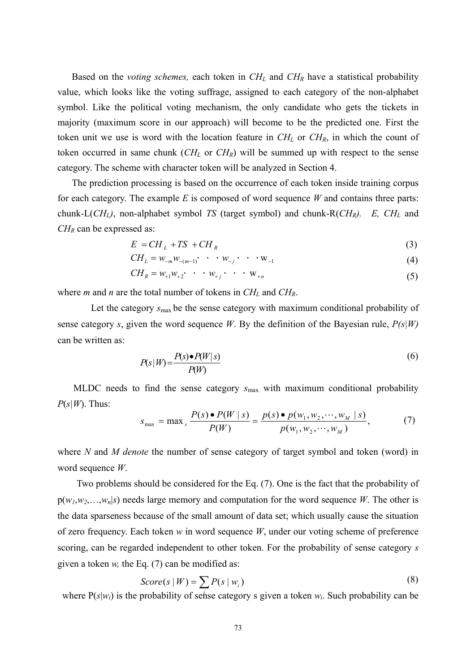Based on the *voting schemes*, each token in  $CH<sub>L</sub>$  and  $CH<sub>R</sub>$  have a statistical probability value, which looks like the voting suffrage, assigned to each category of the non-alphabet symbol. Like the political voting mechanism, the only candidate who gets the tickets in majority (maximum score in our approach) will become to be the predicted one. First the token unit we use is word with the location feature in  $CH_L$  or  $CH_R$ , in which the count of token occurred in same chunk  $(CH_L$  or  $CH_R$ ) will be summed up with respect to the sense category. The scheme with character token will be analyzed in Section 4.

 The prediction processing is based on the occurrence of each token inside training corpus for each category. The example *E* is composed of word sequence *W* and contains three parts: chunk-L(*CHL)*, non-alphabet symbol *TS* (target symbol) and chunk-R(*CHR). E, CHL* and *CH<sub>R</sub>* can be expressed as:

$$
E = CH_L + TS + CH_R \tag{3}
$$

$$
CH_{L} = W_{-m}W_{-(m-1)} \cdot \cdot \cdot W_{-j} \cdot \cdot \cdot W_{-1}
$$
\n(4)

$$
CH_R = w_{+1}w_{+2} \cdot \cdot \cdot w_{+j} \cdot \cdot \cdot w_{+n}
$$
 (5)

where *m* and *n* are the total number of tokens in  $CH<sub>L</sub>$  and  $CH<sub>R</sub>$ .

 Let the category *s*max be the sense category with maximum conditional probability of sense category *s*, given the word sequence *W*. By the definition of the Bayesian rule, *P(s|W)* can be written as:

$$
P(s|W) = \frac{P(s) \bullet P(W|s)}{P(W)}
$$
\n<sup>(6)</sup>

MLDC needs to find the sense category *s*max with maximum conditional probability  $P(s|W)$ . Thus:

$$
s_{\max} = \max_{s} \frac{P(s) \bullet P(W \mid s)}{P(W)} = \frac{p(s) \bullet p(w_1, w_2, \cdots, w_M \mid s)}{p(w_1, w_2, \cdots, w_M)},
$$
(7)

where *N* and *M denote* the number of sense category of target symbol and token (word) in word sequence *W*.

Two problems should be considered for the Eq. (7). One is the fact that the probability of  $p(w_1, w_2, \ldots, w_n | s)$  needs large memory and computation for the word sequence *W*. The other is the data sparseness because of the small amount of data set; which usually cause the situation of zero frequency. Each token *w* in word sequence *W*, under our voting scheme of preference scoring, can be regarded independent to other token. For the probability of sense category *s* given a token *w,* the Eq. (7) can be modified as:

$$
Score(s \mid W) = \sum P(s \mid w_i)
$$
\n(8)

where  $P(s|w_i)$  is the probability of sense category s given a token  $w_i$ . Such probability can be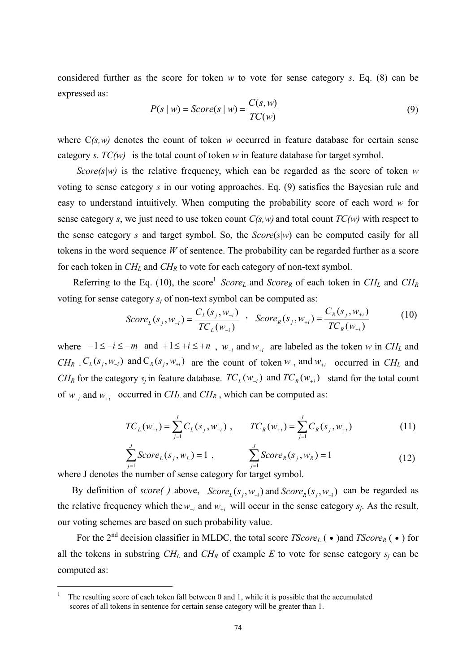considered further as the score for token *w* to vote for sense category *s*. Eq. (8) can be expressed as:

$$
P(s \mid w) = Score(s \mid w) = \frac{C(s, w)}{TC(w)}\tag{9}
$$

where  $C(s, w)$  denotes the count of token *w* occurred in feature database for certain sense category *s*. *TC(w)* is the total count of token *w* in feature database for target symbol.

*Score(s|w)* is the relative frequency, which can be regarded as the score of token  $w$ voting to sense category *s* in our voting approaches. Eq. (9) satisfies the Bayesian rule and easy to understand intuitively. When computing the probability score of each word *w* for sense category *s*, we just need to use token count *C(s,w)* and total count *TC(w)* with respect to the sense category *s* and target symbol. So, the *Score*(*s*|*w*) can be computed easily for all tokens in the word sequence *W* of sentence. The probability can be regarded further as a score for each token in *CHL* and *CHR* to vote for each category of non-text symbol.

Referring to the Eq. (10), the score<sup>1</sup> *Score<sub>L</sub>* and *Score<sub>R</sub>* of each token in  $CH<sub>L</sub>$  and  $CH<sub>R</sub>$ voting for sense category  $s_i$  of non-text symbol can be computed as:

$$
Score_{L}(s_j, w_{-i}) = \frac{C_{L}(s_j, w_{-i})}{TC_{L}(w_{-i})}, \quad Score_{R}(s_j, w_{+i}) = \frac{C_{R}(s_j, w_{+i})}{TC_{R}(w_{+i})}
$$
(10)

where  $-1 \le -i \le -m$  and  $+1 \le +i \le +n$ ,  $w_{-i}$  and  $w_{+i}$  are labeled as the token *w* in *CH<sub>L</sub>* and  $CH_R$   $C_L(s_j, w_{-i})$  and  $C_R(s_j, w_{+i})$  are the count of token  $w_{-i}$  and  $w_{+i}$  occurred in  $CH_L$  and *CH<sub>R</sub>* for the category  $s_j$  in feature database.  $TC_L(w_{-i})$  and  $TC_R(w_{+i})$  stand for the total count of  $w_{-i}$  and  $w_{+i}$  occurred in *CH<sub>L</sub>* and *CH<sub>R</sub>*, which can be computed as:

$$
TC_L(w_{-i}) = \sum_{j=1}^{J} C_L(s_j, w_{-i}), \qquad TC_R(w_{+i}) = \sum_{j=1}^{J} C_R(s_j, w_{+i})
$$
(11)

$$
\sum_{j=1}^{J} Score_L(s_j, w_L) = 1 , \qquad \sum_{j=1}^{J} Score_R(s_j, w_R) = 1
$$
 (12)

where J denotes the number of sense category for target symbol.

By definition of *score()* above,  $Score_{L}(s_j, w_{-i})$  and  $Score_{R}(s_j, w_{+i})$  can be regarded as the relative frequency which the  $w_{-i}$  and  $w_{+i}$  will occur in the sense category  $s_j$ . As the result, our voting schemes are based on such probability value.

For the 2<sup>nd</sup> decision classifier in MLDC, the total score *TScore<sub>L</sub>* (•)and *TScore<sub>R</sub>* (•) for all the tokens in substring  $CH_L$  and  $CH_R$  of example *E* to vote for sense category  $s_i$  can be computed as:

<sup>1</sup> The resulting score of each token fall between 0 and 1, while it is possible that the accumulated scores of all tokens in sentence for certain sense category will be greater than 1.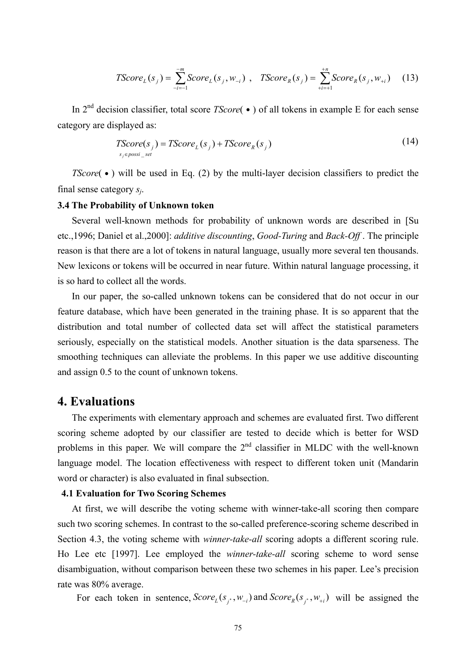$$
TScore_L(s_j) = \sum_{-i=-1}^{-m} Score_L(s_j, w_{-i}) , \quad TScore_R(s_j) = \sum_{+i=-1}^{+n} Score_R(s_j, w_{+i})
$$
 (13)

 In 2nd decision classifier, total score *TScore*(˙) of all tokens in example E for each sense category are displayed as:

$$
TScore(s_j) = TScore_L(s_j) + TScore_R(s_j)
$$
\n
$$
s_j \in possi\_set
$$
\n(14)

*TScore*( $\bullet$ ) will be used in Eq. (2) by the multi-layer decision classifiers to predict the final sense category *sj*.

#### **3.4 The Probability of Unknown token**

Several well-known methods for probability of unknown words are described in [Su etc.,1996; Daniel et al.,2000]: *additive discounting*, *Good-Turing* and *Back-Off* . The principle reason is that there are a lot of tokens in natural language, usually more several ten thousands. New lexicons or tokens will be occurred in near future. Within natural language processing, it is so hard to collect all the words.

In our paper, the so-called unknown tokens can be considered that do not occur in our feature database, which have been generated in the training phase. It is so apparent that the distribution and total number of collected data set will affect the statistical parameters seriously, especially on the statistical models. Another situation is the data sparseness. The smoothing techniques can alleviate the problems. In this paper we use additive discounting and assign 0.5 to the count of unknown tokens.

## **4. Evaluations**

The experiments with elementary approach and schemes are evaluated first. Two different scoring scheme adopted by our classifier are tested to decide which is better for WSD problems in this paper. We will compare the  $2<sup>nd</sup>$  classifier in MLDC with the well-known language model. The location effectiveness with respect to different token unit (Mandarin word or character) is also evaluated in final subsection.

## **4.1 Evaluation for Two Scoring Schemes**

At first, we will describe the voting scheme with winner-take-all scoring then compare such two scoring schemes. In contrast to the so-called preference-scoring scheme described in Section 4.3, the voting scheme with *winner-take-all* scoring adopts a different scoring rule. Ho Lee etc [1997]. Lee employed the *winner-take-all* scoring scheme to word sense disambiguation, without comparison between these two schemes in his paper. Lee's precision rate was 80% average.

For each token in sentence,  $Score_{L}(s_{i^*}, w_{-i})$  and  $Score_{R}(s_{i^*}, w_{+i})$  will be assigned the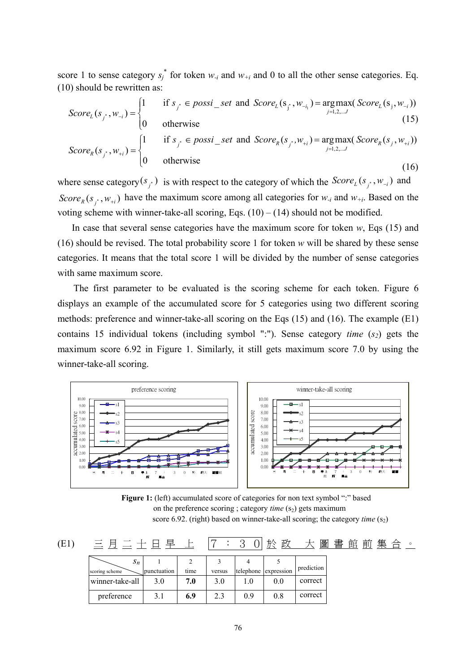score 1 to sense category  $s_j^*$  for token  $w_{-i}$  and  $w_{+i}$  and 0 to all the other sense categories. Eq. (10) should be rewritten as:

$$
Score_{L}(s_{j^*}, w_{-i}) = \begin{cases} 1 & \text{if } s_{j^*} \in possi\_set \text{ and } Score_{L}(s_{j^*}, w_{-i}) = \underset{j=1,2,...J}{argmax}(Score_{L}(s_j, w_{-i})) \\ 0 & \text{otherwise} \end{cases}
$$
(15)  

$$
Score_{R}(s_{j^*}, w_{+i}) = \begin{cases} 1 & \text{if } s_{j^*} \in possi\_set \text{ and } Score_{R}(s_{j^*}, w_{+i}) = \underset{j=1,2,...J}{argmax}(Score_{R}(s_j, w_{+i})) \\ 0 & \text{otherwise} \end{cases}
$$
(16)

where sense category  $(s_j^*)$  is with respect to the category of which the  $Score_L(s_j^*, w_{-i})$  and Score<sub>R</sub>( $s_j$ <sup>\*</sup>, $w_{+i}$ ) have the maximum score among all categories for  $w_{-i}$  and  $w_{+i}$ . Based on the voting scheme with winner-take-all scoring, Eqs.  $(10) - (14)$  should not be modified.

 In case that several sense categories have the maximum score for token *w*, Eqs (15) and (16) should be revised. The total probability score 1 for token *w* will be shared by these sense categories. It means that the total score 1 will be divided by the number of sense categories with same maximum score.

The first parameter to be evaluated is the scoring scheme for each token. Figure 6 displays an example of the accumulated score for 5 categories using two different scoring methods: preference and winner-take-all scoring on the Eqs (15) and (16). The example (E1) contains 15 individual tokens (including symbol ":"). Sense category *time*  $(s_2)$  gets the maximum score 6.92 in Figure 1. Similarly, it still gets maximum score 7.0 by using the winner-take-all scoring.



**Figure 1:** (left) accumulated score of categories for non text symbol ":" based on the preference scoring ; category *time* (s<sub>2</sub>) gets maximum score 6.92. (right) based on winner-take-all scoring; the category *time*  $(s_2)$ 

| <b>(E1)</b> |                         |             |      | $\bullet$ | っ            | 政<br>於               | 圖          | 館<br>書 | 前 | 集 | 合 | $\circ$ |
|-------------|-------------------------|-------------|------|-----------|--------------|----------------------|------------|--------|---|---|---|---------|
|             | $S_n$<br>scoring scheme | punctuation | time | versus    | 4            | telephone expression | prediction |        |   |   |   |         |
|             | winner-take-all         | 3.0         | 7.0  | 3.0       | $_{\rm 1.0}$ | 0.0                  | correct    |        |   |   |   |         |
|             | preference              | 3.1         | 6.9  | 2.3       | 0.9          | 0.8                  | correct    |        |   |   |   |         |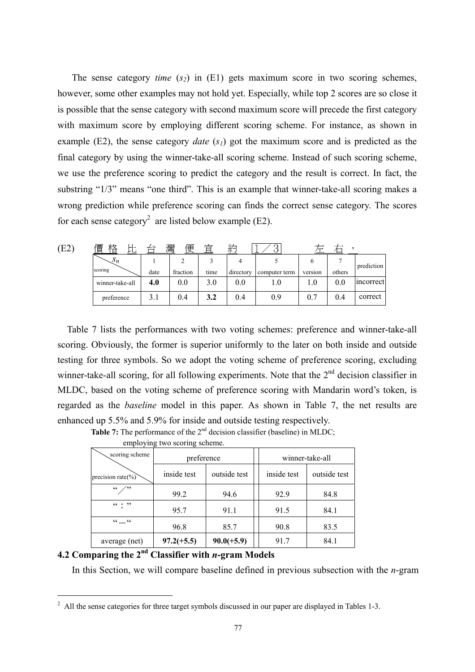The sense category *time*  $(s_2)$  in  $(E1)$  gets maximum score in two scoring schemes, however, some other examples may not hold yet. Especially, while top 2 scores are so close it is possible that the sense category with second maximum score will precede the first category with maximum score by employing different scoring scheme. For instance, as shown in example (E2), the sense category *date* (*s<sub>1</sub>*) got the maximum score and is predicted as the final category by using the winner-take-all scoring scheme. Instead of such scoring scheme, we use the preference scoring to predict the category and the result is correct. In fact, the substring "1/3" means "one third". This is an example that winner-take-all scoring makes a wrong prediction while preference scoring can finds the correct sense category. The scores for each sense category<sup>2</sup> are listed below example (E2).

| (E2) | 格<br>價<br>⊬⊦<br>້∟ |      | 灣<br>便   | 宜    | 約         |               |         |        |            |
|------|--------------------|------|----------|------|-----------|---------------|---------|--------|------------|
|      | $\mathcal{S}_n$    |      |          |      |           |               | h       |        | prediction |
|      | scoring            | date | fraction | time | directory | computer term | version | others |            |
|      | winner-take-all    | 4.0  | 0.0      | 3.0  | 0.0       | $_{\rm 1.0}$  | 0.1     | 0.0    | incorrect  |
|      | preference         | 3.1  | 0.4      | 3.2  | 0.4       | 0.9           | 0.7     | 0.4    | correct    |

Table 7 lists the performances with two voting schemes: preference and winner-take-all scoring. Obviously, the former is superior uniformly to the later on both inside and outside testing for three symbols. So we adopt the voting scheme of preference scoring, excluding winner-take-all scoring, for all following experiments. Note that the  $2<sup>nd</sup>$  decision classifier in MLDC, based on the voting scheme of preference scoring with Mandarin word's token, is regarded as the *baseline* model in this paper. As shown in Table 7, the net results are enhanced up 5.5% and 5.9% for inside and outside testing respectively.

**Table 7:** The performance of the 2<sup>nd</sup> decision classifier (baseline) in MLDC; **believe** two schemes scheme.

| employing two scoring scheme. |              |              |  |                 |              |  |  |  |  |  |  |
|-------------------------------|--------------|--------------|--|-----------------|--------------|--|--|--|--|--|--|
| scoring scheme                | preference   |              |  | winner-take-all |              |  |  |  |  |  |  |
| precision rate $(\%)$         | inside test  | outside test |  | inside test     | outside test |  |  |  |  |  |  |
| (0)                           | 99.2         | 94.6         |  | 92.9            | 84.8         |  |  |  |  |  |  |
| $66 + 22$                     | 95.7         | 91.1         |  | 91.5            | 84.1         |  |  |  |  |  |  |
| $CC$ $CC$                     | 96.8         | 85.7         |  | 90.8            | 83.5         |  |  |  |  |  |  |
| average (net)                 | $97.2(+5.5)$ | $90.0(+5.9)$ |  | 91.7            | 84.1         |  |  |  |  |  |  |

## **4.2 Comparing the 2nd Classifier with** *n***-gram Models**

 $\overline{a}$ 

In this Section, we will compare baseline defined in previous subsection with the *n*-gram

 $2$  All the sense categories for three target symbols discussed in our paper are displayed in Tables 1-3.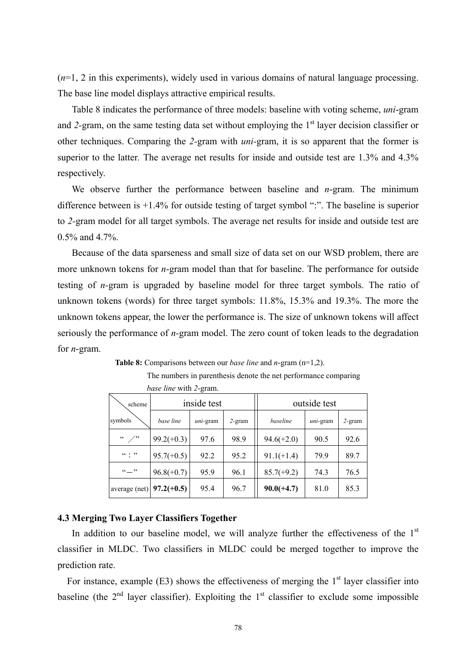(*n*=1, 2 in this experiments), widely used in various domains of natural language processing. The base line model displays attractive empirical results.

Table 8 indicates the performance of three models: baseline with voting scheme, *uni*-gram and 2-gram, on the same testing data set without employing the 1<sup>st</sup> layer decision classifier or other techniques. Comparing the *2-*gram with *uni-*gram, it is so apparent that the former is superior to the latter. The average net results for inside and outside test are 1.3% and 4.3% respectively.

We observe further the performance between baseline and *n*-gram. The minimum difference between is +1.4% for outside testing of target symbol ":". The baseline is superior to *2-*gram model for all target symbols. The average net results for inside and outside test are 0.5% and 4.7%.

Because of the data sparseness and small size of data set on our WSD problem, there are more unknown tokens for *n*-gram model than that for baseline. The performance for outside testing of *n-*gram is upgraded by baseline model for three target symbols. The ratio of unknown tokens (words) for three target symbols: 11.8%, 15.3% and 19.3%. The more the unknown tokens appear, the lower the performance is. The size of unknown tokens will affect seriously the performance of *n-*gram model. The zero count of token leads to the degradation for *n*-gram.

The numbers in parenthesis denote the net performance comparing

|                          | <i>base line</i> with 2-gram.         |             |          |              |           |      |  |
|--------------------------|---------------------------------------|-------------|----------|--------------|-----------|------|--|
| scheme                   |                                       | inside test |          | outside test |           |      |  |
| symbols                  | base line<br>$2$ -gram<br>$uni$ -gram |             | baseline | $uni$ -gram  | $2$ -gram |      |  |
| $\sqrt{2}$<br>$\epsilon$ | $99.2(+0.3)$                          | 97.6        | 98.9     | $94.6(+2.0)$ | 90.5      | 92.6 |  |
| $\cdots$ $\cdots$        | $95.7(+0.5)$                          | 92.2        | 95.2     | $91.1(+1.4)$ | 79.9      | 89.7 |  |
| $\cdots$                 | $96.8(+0.7)$                          | 95.9        | 96.1     | $85.7(+9.2)$ | 74.3      | 76.5 |  |
| average (net)            | $97.2(+0.5)$                          | 95.4        | 96.7     | $90.0(+4.7)$ | 81.0      | 85.3 |  |

**Table 8:** Comparisons between our *base line* and *n*-gram (n=1,2).

## **4.3 Merging Two Layer Classifiers Together**

In addition to our baseline model, we will analyze further the effectiveness of the  $1<sup>st</sup>$ classifier in MLDC. Two classifiers in MLDC could be merged together to improve the prediction rate.

For instance, example  $(E3)$  shows the effectiveness of merging the  $1<sup>st</sup>$  layer classifier into baseline (the  $2<sup>nd</sup>$  layer classifier). Exploiting the  $1<sup>st</sup>$  classifier to exclude some impossible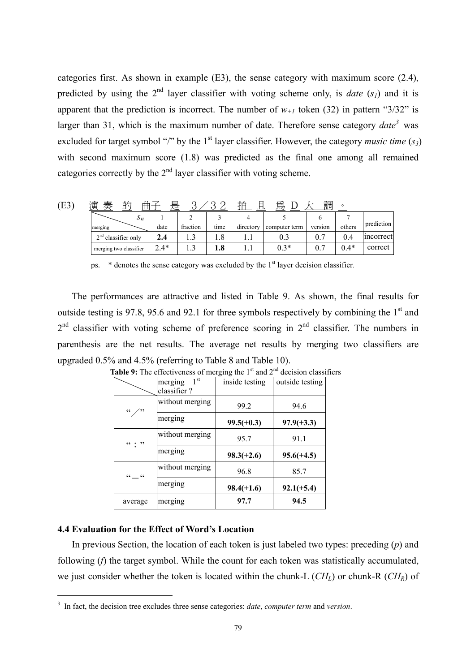categories first. As shown in example (E3), the sense category with maximum score (2.4), predicted by using the  $2^{nd}$  layer classifier with voting scheme only, is *date* (*s<sub>1</sub>*) and it is apparent that the prediction is incorrect. The number of  $w_{+1}$  token (32) in pattern "3/32" is larger than 31, which is the maximum number of date. Therefore sense category  $date^3$  was excluded for target symbol "/" by the 1<sup>st</sup> layer classifier. However, the category *music time* ( $s_3$ ) with second maximum score (1.8) was predicted as the final one among all remained categories correctly by the  $2<sup>nd</sup>$  layer classifier with voting scheme.

| (E3) | 演<br>的<br>奉            | 曲子<br>是 |          |      | 坮         |               | 調       | $\circ$ |            |
|------|------------------------|---------|----------|------|-----------|---------------|---------|---------|------------|
|      | $S_n$                  |         |          |      |           |               |         |         |            |
|      | merging                | date    | fraction | time | directory | computer term | version | others  | prediction |
|      | $2nd$ classifier only  | 2.4     |          | 8.5  |           | 0.3           | 0.7     | 0.4     | incorrect  |
|      | merging two classifier | $2.4*$  |          | 1.8  |           | $0.3*$        | 0.7     | $0.4*$  | correct    |

ps. \* denotes the sense category was excluded by the 1<sup>st</sup> layer decision classifier.

The performances are attractive and listed in Table 9. As shown, the final results for outside testing is 97.8, 95.6 and 92.1 for three symbols respectively by combining the  $1<sup>st</sup>$  and  $2<sup>nd</sup>$  classifier with voting scheme of preference scoring in  $2<sup>nd</sup>$  classifier. The numbers in parenthesis are the net results. The average net results by merging two classifiers are upgraded 0.5% and 4.5% (referring to Table 8 and Table 10).

|            | 1 <sup>st</sup><br>merging<br>classifier? | inside testing | outside testing |  |
|------------|-------------------------------------------|----------------|-----------------|--|
| $\epsilon$ | without merging<br>99.2                   |                | 94.6            |  |
|            | merging                                   | $99.5(+0.3)$   | $97.9(+3.3)$    |  |
| (0, 0)     | without merging<br>95.7                   |                | 91.1            |  |
|            | merging                                   | $98.3(+2.6)$   | $95.6(+4.5)$    |  |
| $cc$ $cc$  | without merging                           | 96.8           | 85.7            |  |
|            | merging                                   | $98.4(+1.6)$   | $92.1(+5.4)$    |  |
| average    | merging                                   | 97.7           | 94.5            |  |

**Table 9:** The effectiveness of merging the 1<sup>st</sup> and 2<sup>nd</sup> decision classifiers

## **4.4 Evaluation for the Effect of Word's Location**

 $\overline{a}$ 

In previous Section, the location of each token is just labeled two types: preceding (*p*) and following (*f*) the target symbol. While the count for each token was statistically accumulated, we just consider whether the token is located within the chunk-L  $(CH_L)$  or chunk-R  $(CH_R)$  of

<sup>3</sup> In fact, the decision tree excludes three sense categories: *date*, *computer term* and *version*.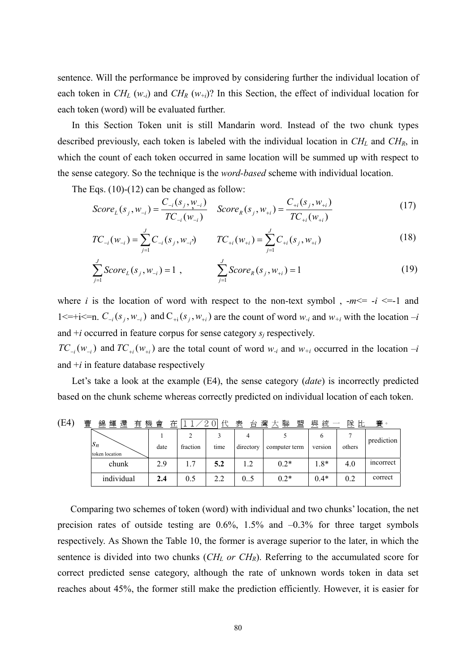sentence. Will the performance be improved by considering further the individual location of each token in  $CH_L(w_i)$  and  $CH_R(w_{+i})$ ? In this Section, the effect of individual location for each token (word) will be evaluated further.

In this Section Token unit is still Mandarin word. Instead of the two chunk types described previously, each token is labeled with the individual location in *CHL* and *CHR*, in which the count of each token occurred in same location will be summed up with respect to the sense category. So the technique is the *word-based* scheme with individual location.

The Eqs. (10)-(12) can be changed as follow:

$$
Score_{L}(s_j, w_{-i}) = \frac{C_{-i}(s_j, w_{-i})}{TC_{-i}(w_{-i})} \quad Score_{R}(s_j, w_{+i}) = \frac{C_{+i}(s_j, w_{+i})}{TC_{+i}(w_{+i})}
$$
(17)

$$
TC_{-i}(w_{-i}) = \sum_{j=1}^{J} C_{-i}(s_j, w_{-i}) \qquad TC_{+i}(w_{+i}) = \sum_{j=1}^{J} C_{+i}(s_j, w_{+i}) \qquad (18)
$$

$$
\sum_{j=1}^{J} Score_L(s_j, w_{-i}) = 1 , \qquad \sum_{j=1}^{J} Score_R(s_j, w_{+i}) = 1
$$
 (19)

where *i* is the location of word with respect to the non-text symbol,  $-m \le -i \le -1$  and 1<=+i<=n.  $C_{-i}(s_i, w_{-i})$  and  $C_{+i}(s_i, w_{+i})$  are the count of word  $w_{-i}$  and  $w_{+i}$  with the location  $-i$ and  $+i$  occurred in feature corpus for sense category  $s_i$  respectively.

 $TC_{-i}(w_{-i})$  and  $TC_{+i}(w_{+i})$  are the total count of word  $w_{-i}$  and  $w_{+i}$  occurred in the location  $-i$ and  $+i$  in feature database respectively

Let's take a look at the example (E4), the sense category (*date*) is incorrectly predicted based on the chunk scheme whereas correctly predicted on individual location of each token.

| (E4) | 曹<br>錦<br>還<br>輝<br>有        | 機<br>會<br>在 |          | Æ<br>$\Omega$ | 表<br>台    | 灣<br>聯<br>盟<br>$+$ | 與<br>統  | 隊<br>ᄔ | 賽。         |
|------|------------------------------|-------------|----------|---------------|-----------|--------------------|---------|--------|------------|
|      | U                            |             |          |               |           |                    |         |        | prediction |
|      | $\Delta_n$<br>token location | date        | fraction | time          | directory | computer term      | version | others |            |
|      | chunk                        | 2.9         | 7        | 5.2           | 1.2       | $0.2*$             | $1.8*$  | 4.0    | mcorrect   |
|      | individual                   | 2.4         | 0.5      | 2.2           |           | $0.2*$             | $0.4*$  | 0.2    | correct    |

Comparing two schemes of token (word) with individual and two chunks' location, the net precision rates of outside testing are  $0.6\%$ ,  $1.5\%$  and  $-0.3\%$  for three target symbols respectively. As Shown the Table 10, the former is average superior to the later, in which the sentence is divided into two chunks  $(CH_L \text{ or } CH_R)$ . Referring to the accumulated score for correct predicted sense category, although the rate of unknown words token in data set reaches about 45%, the former still make the prediction efficiently. However, it is easier for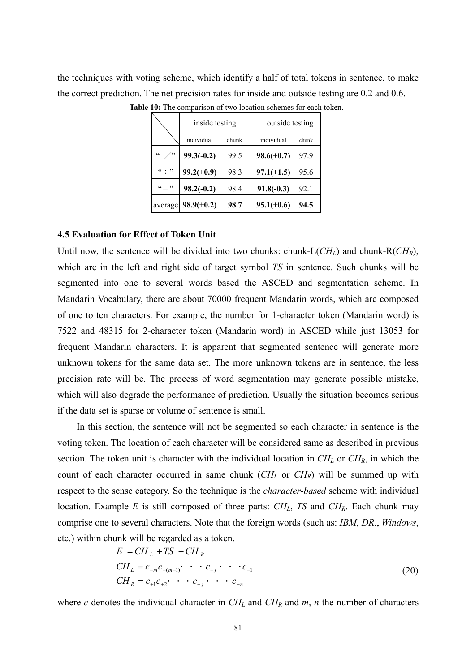the techniques with voting scheme, which identify a half of total tokens in sentence, to make the correct prediction. The net precision rates for inside and outside testing are 0.2 and 0.6.

|                   | inside testing |       | outside testing |       |  |  |
|-------------------|----------------|-------|-----------------|-------|--|--|
|                   | individual     | chunk | individual      | chunk |  |  |
| $\epsilon$<br>دد٬ | $99.3(-0.2)$   | 99.5  | $98.6(+0.7)$    | 97.9  |  |  |
| (0, 0)            | $99.2(+0.9)$   | 98.3  | $97.1(+1.5)$    | 95.6  |  |  |
| $\cdots$          | $98.2(-0.2)$   | 98.4  | $91.8(-0.3)$    | 92.1  |  |  |
| average           | $98.9(+0.2)$   | 98.7  | $95.1(+0.6)$    | 94.5  |  |  |

**Table 10:** The comparison of two location schemes for each token.

#### **4.5 Evaluation for Effect of Token Unit**

Until now, the sentence will be divided into two chunks: chunk-L $(CH_L)$  and chunk-R $(CH_R)$ , which are in the left and right side of target symbol *TS* in sentence. Such chunks will be segmented into one to several words based the ASCED and segmentation scheme. In Mandarin Vocabulary, there are about 70000 frequent Mandarin words, which are composed of one to ten characters. For example, the number for 1-character token (Mandarin word) is 7522 and 48315 for 2-character token (Mandarin word) in ASCED while just 13053 for frequent Mandarin characters. It is apparent that segmented sentence will generate more unknown tokens for the same data set. The more unknown tokens are in sentence, the less precision rate will be. The process of word segmentation may generate possible mistake, which will also degrade the performance of prediction. Usually the situation becomes serious if the data set is sparse or volume of sentence is small.

In this section, the sentence will not be segmented so each character in sentence is the voting token. The location of each character will be considered same as described in previous section. The token unit is character with the individual location in  $CH_L$  or  $CH_R$ , in which the count of each character occurred in same chunk (*CH<sub>L</sub>* or *CH<sub>R</sub>*) will be summed up with respect to the sense category. So the technique is the *character-based* scheme with individual location. Example *E* is still composed of three parts: *CH<sub>L</sub>*, *TS* and *CH<sub>R</sub>*. Each chunk may comprise one to several characters. Note that the foreign words (such as: *IBM*, *DR.*, *Windows*, etc.) within chunk will be regarded as a token.

$$
E = CH_{L} + TS + CH_{R}
$$
  
\n
$$
CH_{L} = c_{-m}c_{-(m-1)} \cdot \cdot \cdot c_{-j} \cdot \cdot \cdot c_{-1}
$$
  
\n
$$
CH_{R} = c_{+1}c_{+2} \cdot \cdot \cdot c_{+j} \cdot \cdot \cdot c_{+n}
$$
\n(20)

where *c* denotes the individual character in  $CH<sub>L</sub>$  and  $CH<sub>R</sub>$  and  $m$ , *n* the number of characters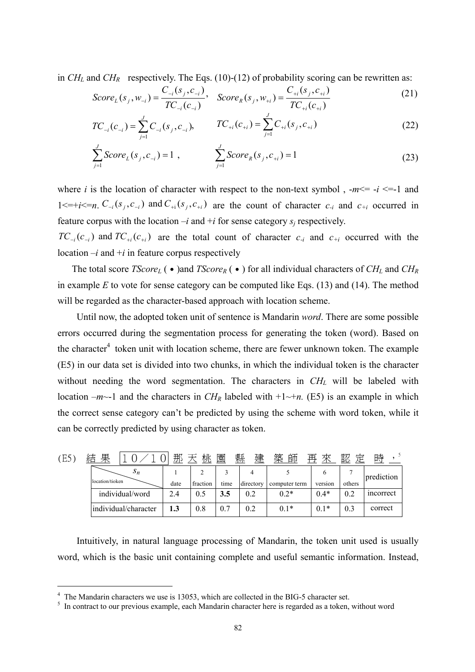in  $CH_L$  and  $CH_R$  respectively. The Eqs. (10)-(12) of probability scoring can be rewritten as:

$$
Score_{L}(s_{j}, w_{-i}) = \frac{C_{-i}(s_{j}, c_{-i})}{TC_{-i}(c_{-i})}, \quad Score_{R}(s_{j}, w_{+i}) = \frac{C_{+i}(s_{j}, c_{+i})}{TC_{+i}(c_{+i})}
$$
(21)

$$
TC_{-i}(c_{-i}) = \sum_{j=1}^{J} C_{-i}(s_j, c_{-i}), \qquad TC_{+i}(c_{+i}) = \sum_{j=1}^{J} C_{+i}(s_j, c_{+i})
$$
\n(22)

$$
\sum_{j=1}^{J} Score_L(s_j, c_{-i}) = 1 , \qquad \sum_{j=1}^{J} Score_R(s_j, c_{+i}) = 1
$$
 (23)

where *i* is the location of character with respect to the non-text symbol,  $-m \le -i \le -1$  and  $1 \le i \le n$ .  $C_{-i}(s_i, c_{-i})$  and  $C_{+i}(s_i, c_{+i})$  are the count of character  $c_{-i}$  and  $c_{+i}$  occurred in feature corpus with the location  $-i$  and  $+i$  for sense category  $s_i$  respectively.

 $TC_{-i}(c_{-i})$  and  $TC_{+i}(c_{+i})$  are the total count of character  $c_{-i}$  and  $c_{+i}$  occurred with the location  $-i$  and  $+i$  in feature corpus respectively

The total score *TScore<sub>L</sub>* (•)and *TScore<sub>R</sub>* (•) for all individual characters of *CH<sub>L</sub>* and *CH<sub>R</sub>* in example *E* to vote for sense category can be computed like Eqs. (13) and (14). The method will be regarded as the character-based approach with location scheme.

Until now, the adopted token unit of sentence is Mandarin *word*. There are some possible errors occurred during the segmentation process for generating the token (word). Based on the character<sup>4</sup> token unit with location scheme, there are fewer unknown token. The example (E5) in our data set is divided into two chunks, in which the individual token is the character without needing the word segmentation. The characters in  $CH<sub>L</sub>$  will be labeled with location  $-m$ -1 and the characters in  $CH_R$  labeled with  $+1$ - $+n$ . (E5) is an example in which the correct sense category can't be predicted by using the scheme with word token, while it can be correctly predicted by using character as token.

| Έ5 | 果<br>ź±         |                      | 那    | 桃        | 園    | 建<br>縣    | 築<br>師        | 來<br>再  | 認      | 時          |
|----|-----------------|----------------------|------|----------|------|-----------|---------------|---------|--------|------------|
|    |                 | $S_n$                |      |          |      |           |               |         |        | prediction |
|    | location/tioken |                      | date | fraction | time | directory | computer term | version | others |            |
|    |                 | individual/word      | 2.4  | 0.5      | 3.5  | 0.2       | $0.2*$        | $0.4*$  | 0.2    | incorrect  |
|    |                 | individual/character | 1.3  | 0.8      | 0.7  | 0.2       | $0.1*$        | $0.1*$  | 0.3    | correct    |

Intuitively, in natural language processing of Mandarin, the token unit used is usually word, which is the basic unit containing complete and useful semantic information. Instead,

 $\overline{a}$ 

 $^{4}$  The Mandarin characters we use is 13053, which are collected in the BIG-5 character set.

<sup>&</sup>lt;sup>5</sup> In contract to our previous example, each Mandarin character here is regarded as a token, without word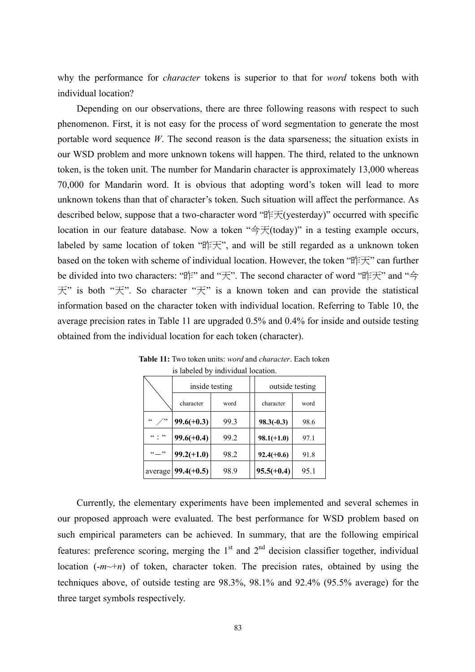why the performance for *character* tokens is superior to that for *word* tokens both with individual location?

Depending on our observations, there are three following reasons with respect to such phenomenon. First, it is not easy for the process of word segmentation to generate the most portable word sequence *W*. The second reason is the data sparseness; the situation exists in our WSD problem and more unknown tokens will happen. The third, related to the unknown token, is the token unit. The number for Mandarin character is approximately 13,000 whereas 70,000 for Mandarin word. It is obvious that adopting word's token will lead to more unknown tokens than that of character's token. Such situation will affect the performance. As described below, suppose that a two-character word "昨天(yesterday)" occurred with specific location in our feature database. Now a token " $\rightarrow \pm$  (today)" in a testing example occurs, labeled by same location of token "昨天", and will be still regarded as a unknown token based on the token with scheme of individual location. However, the token "昨天" can further be divided into two characters: "昨" and "天". The second character of word "昨天" and "今 天" is both "天". So character "天" is a known token and can provide the statistical information based on the character token with individual location. Referring to Table 10, the average precision rates in Table 11 are upgraded 0.5% and 0.4% for inside and outside testing obtained from the individual location for each token (character).

|                           |              | inside testing | outside testing |      |  |
|---------------------------|--------------|----------------|-----------------|------|--|
|                           | character    | word           | character       | word |  |
| $\subset$ $\subset$<br>دد | $99.6(+0.3)$ | 99.3           | $98.3(-0.3)$    | 98.6 |  |
| (0, 0, 0)                 | $99.6(+0.4)$ | 99.2           | $98.1(+1.0)$    | 97.1 |  |
| $\frac{1}{2}$             | $99.2(+1.0)$ | 98.2           | $92.4(+0.6)$    | 91.8 |  |
| average                   | $99.4(+0.5)$ | 98.9           | $95.5(+0.4)$    | 95.1 |  |

 **Table 11:** Two token units: *word* and *character*. Each token is labeled by individual location.

 Currently, the elementary experiments have been implemented and several schemes in our proposed approach were evaluated. The best performance for WSD problem based on such empirical parameters can be achieved. In summary, that are the following empirical features: preference scoring, merging the  $1<sup>st</sup>$  and  $2<sup>nd</sup>$  decision classifier together, individual location  $(-m \rightarrow +n)$  of token, character token. The precision rates, obtained by using the techniques above, of outside testing are 98.3%, 98.1% and 92.4% (95.5% average) for the three target symbols respectively.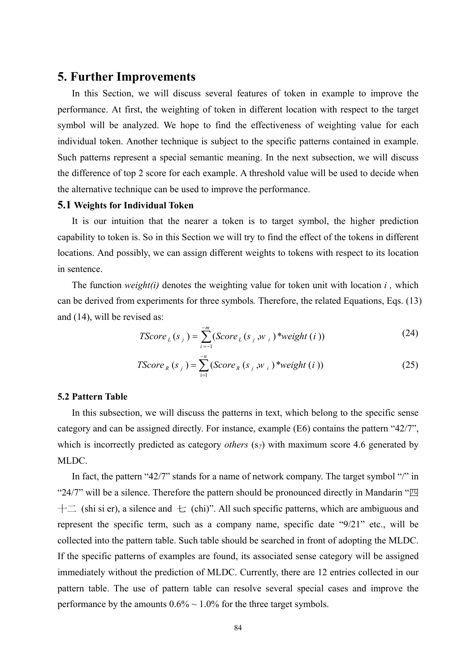## **5. Further Improvements**

In this Section, we will discuss several features of token in example to improve the performance. At first, the weighting of token in different location with respect to the target symbol will be analyzed. We hope to find the effectiveness of weighting value for each individual token. Another technique is subject to the specific patterns contained in example. Such patterns represent a special semantic meaning. In the next subsection, we will discuss the difference of top 2 score for each example. A threshold value will be used to decide when the alternative technique can be used to improve the performance.

### **5.1 Weights for Individual Token**

It is our intuition that the nearer a token is to target symbol, the higher prediction capability to token is. So in this Section we will try to find the effect of the tokens in different locations. And possibly, we can assign different weights to tokens with respect to its location in sentence.

 The function *weight(i)* denotes the weighting value for token unit with location *i ,* which can be derived from experiments for three symbols*.* Therefore, the related Equations, Eqs. (13) and (14), will be revised as:

TScore<sub>L</sub>(s<sub>j</sub>) = 
$$
\sum_{i=-1}^{-m} (Score_{L}(s_{j}, w_{i}) * weight(i))
$$
 (24)

TScore<sub>R</sub> (s<sub>j</sub>) = 
$$
\sum_{i=1}^{-n} (ScoreR (sj, wi) * weight (i))
$$
 (25)

#### **5.2 Pattern Table**

 In this subsection, we will discuss the patterns in text, which belong to the specific sense category and can be assigned directly. For instance, example (E6) contains the pattern "42/7", which is incorrectly predicted as category *others* (s<sub>7</sub>) with maximum score 4.6 generated by MLDC.

In fact, the pattern "42/7" stands for a name of network company. The target symbol "/" in "24/7" will be a silence. Therefore the pattern should be pronounced directly in Mandarin " $\mathbb{Z}$  $+$  (shi si er), a silence and  $+$  (chi)". All such specific patterns, which are ambiguous and represent the specific term, such as a company name, specific date "9/21" etc., will be collected into the pattern table. Such table should be searched in front of adopting the MLDC. If the specific patterns of examples are found, its associated sense category will be assigned immediately without the prediction of MLDC. Currently, there are 12 entries collected in our pattern table. The use of pattern table can resolve several special cases and improve the performance by the amounts  $0.6\% \sim 1.0\%$  for the three target symbols.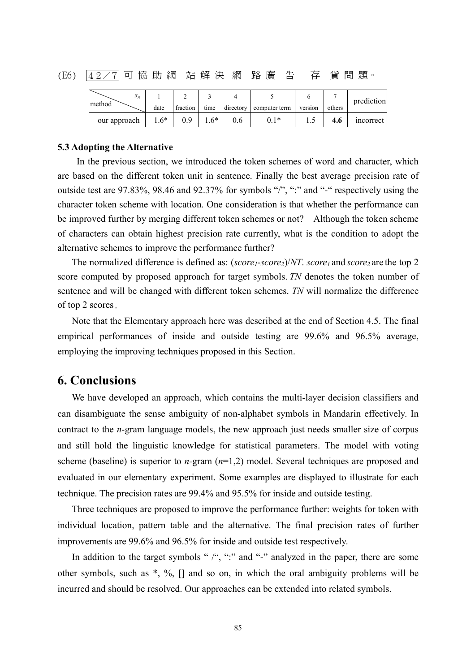(E6) 42/7 可 協 助 網 站 解 決 網 路 廣 告 存 貨 問 題。

| э <sub>п</sub> |        |          |       |     |                         |         |        | prediction |
|----------------|--------|----------|-------|-----|-------------------------|---------|--------|------------|
| method         | date   | fraction | time  |     | directory computer term | version | others |            |
| our approach   | $1.6*$ | 0.9      | $.6*$ | 0.6 | $0.1*$                  |         | 4.6    | incorrect  |

#### **5.3 Adopting the Alternative**

 In the previous section, we introduced the token schemes of word and character, which are based on the different token unit in sentence. Finally the best average precision rate of outside test are 97.83%, 98.46 and 92.37% for symbols "/", ":" and "-" respectively using the character token scheme with location. One consideration is that whether the performance can be improved further by merging different token schemes or not? Although the token scheme of characters can obtain highest precision rate currently, what is the condition to adopt the alternative schemes to improve the performance further?

The normalized difference is defined as:  $(score_1-score_2)/NT$ .  $score_1$  and  $score_2$  are the top 2 score computed by proposed approach for target symbols. *TN* denotes the token number of sentence and will be changed with different token schemes. *TN* will normalize the difference of top 2 scores.

Note that the Elementary approach here was described at the end of Section 4.5. The final empirical performances of inside and outside testing are 99.6% and 96.5% average, employing the improving techniques proposed in this Section.

## **6. Conclusions**

We have developed an approach, which contains the multi-layer decision classifiers and can disambiguate the sense ambiguity of non-alphabet symbols in Mandarin effectively. In contract to the *n-*gram language models, the new approach just needs smaller size of corpus and still hold the linguistic knowledge for statistical parameters. The model with voting scheme (baseline) is superior to *n-*gram (*n*=1,2) model. Several techniques are proposed and evaluated in our elementary experiment. Some examples are displayed to illustrate for each technique. The precision rates are 99.4% and 95.5% for inside and outside testing.

 Three techniques are proposed to improve the performance further: weights for token with individual location, pattern table and the alternative. The final precision rates of further improvements are 99.6% and 96.5% for inside and outside test respectively.

In addition to the target symbols " /", ":" and "-" analyzed in the paper, there are some other symbols, such as \*, %, [] and so on, in which the oral ambiguity problems will be incurred and should be resolved. Our approaches can be extended into related symbols.